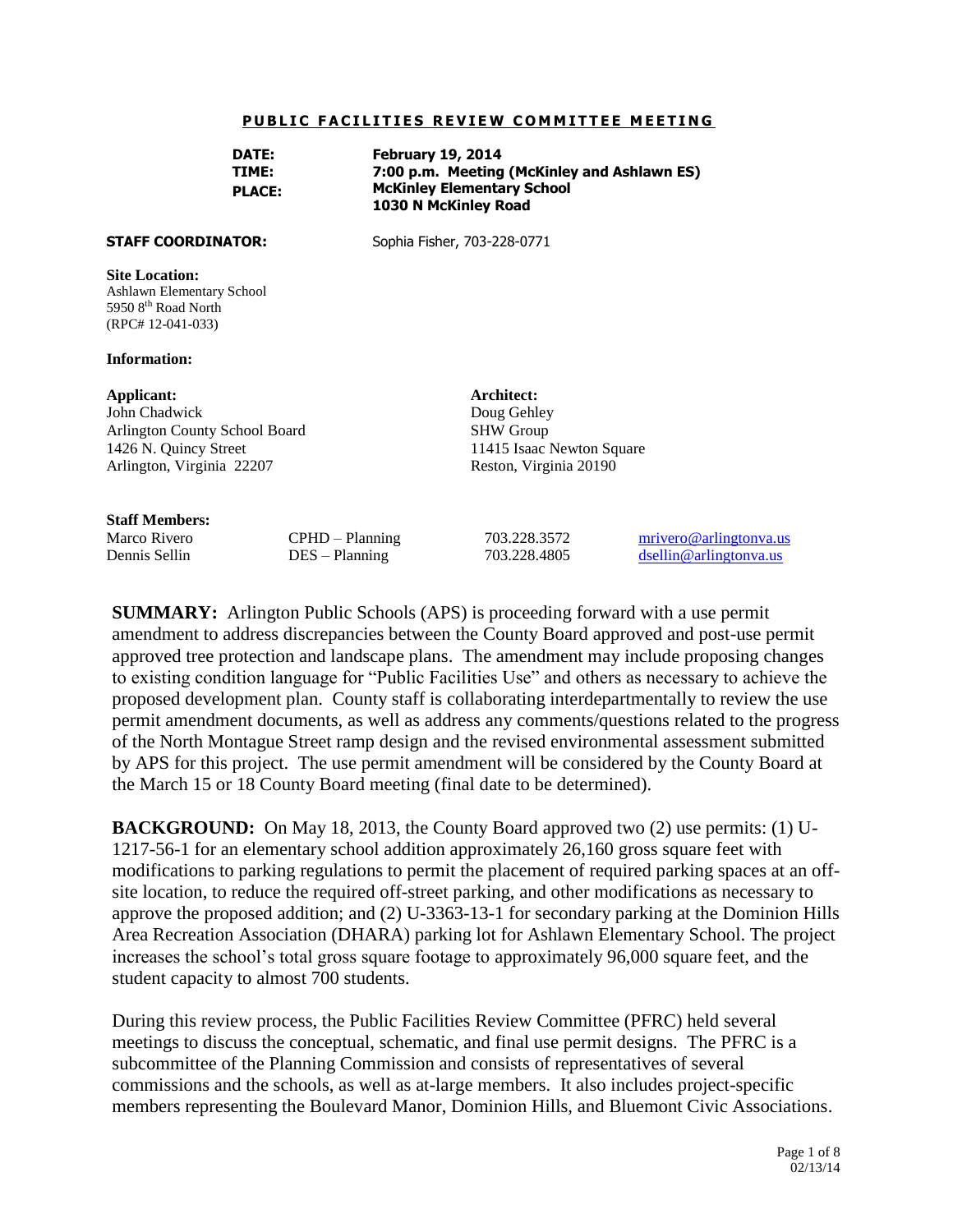#### **PUBLIC FACILITIES REVIEW COMMITTEE MEETING**

| DATE:         | <b>February 19, 2014</b>                    |
|---------------|---------------------------------------------|
| TIME:         | 7:00 p.m. Meeting (McKinley and Ashlawn ES) |
| <b>PLACE:</b> | <b>McKinley Elementary School</b>           |
|               | 1030 N McKinley Road                        |

**STAFF COORDINATOR:** Sophia Fisher, 703-228-0771

#### **Site Location:**

Ashlawn Elementary School 5950 8<sup>th</sup> Road North (RPC# 12-041-033)

#### **Information:**

#### **Applicant:**

John Chadwick Arlington County School Board 1426 N. Quincy Street Arlington, Virginia 22207

#### **Staff Members:**

11415 Isaac Newton Square Reston, Virginia 20190

**Architect:** Doug Gehley SHW Group

Marco Rivero CPHD – Planning 703.228.3572 [mrivero@arlingtonva.us](mailto:mrivero@arlingtonva.us) Dennis Sellin DES – Planning 703.228.4805 [dsellin@arlingtonva.us](mailto:dsellin@arlingtonva.us)

**SUMMARY:** Arlington Public Schools (APS) is proceeding forward with a use permit amendment to address discrepancies between the County Board approved and post-use permit approved tree protection and landscape plans. The amendment may include proposing changes to existing condition language for "Public Facilities Use" and others as necessary to achieve the proposed development plan. County staff is collaborating interdepartmentally to review the use permit amendment documents, as well as address any comments/questions related to the progress of the North Montague Street ramp design and the revised environmental assessment submitted by APS for this project. The use permit amendment will be considered by the County Board at the March 15 or 18 County Board meeting (final date to be determined).

**BACKGROUND:** On May 18, 2013, the County Board approved two (2) use permits: (1) U-1217-56-1 for an elementary school addition approximately 26,160 gross square feet with modifications to parking regulations to permit the placement of required parking spaces at an offsite location, to reduce the required off-street parking, and other modifications as necessary to approve the proposed addition; and (2) U-3363-13-1 for secondary parking at the Dominion Hills Area Recreation Association (DHARA) parking lot for Ashlawn Elementary School. The project increases the school's total gross square footage to approximately 96,000 square feet, and the student capacity to almost 700 students.

During this review process, the Public Facilities Review Committee (PFRC) held several meetings to discuss the conceptual, schematic, and final use permit designs. The PFRC is a subcommittee of the Planning Commission and consists of representatives of several commissions and the schools, as well as at-large members. It also includes project-specific members representing the Boulevard Manor, Dominion Hills, and Bluemont Civic Associations.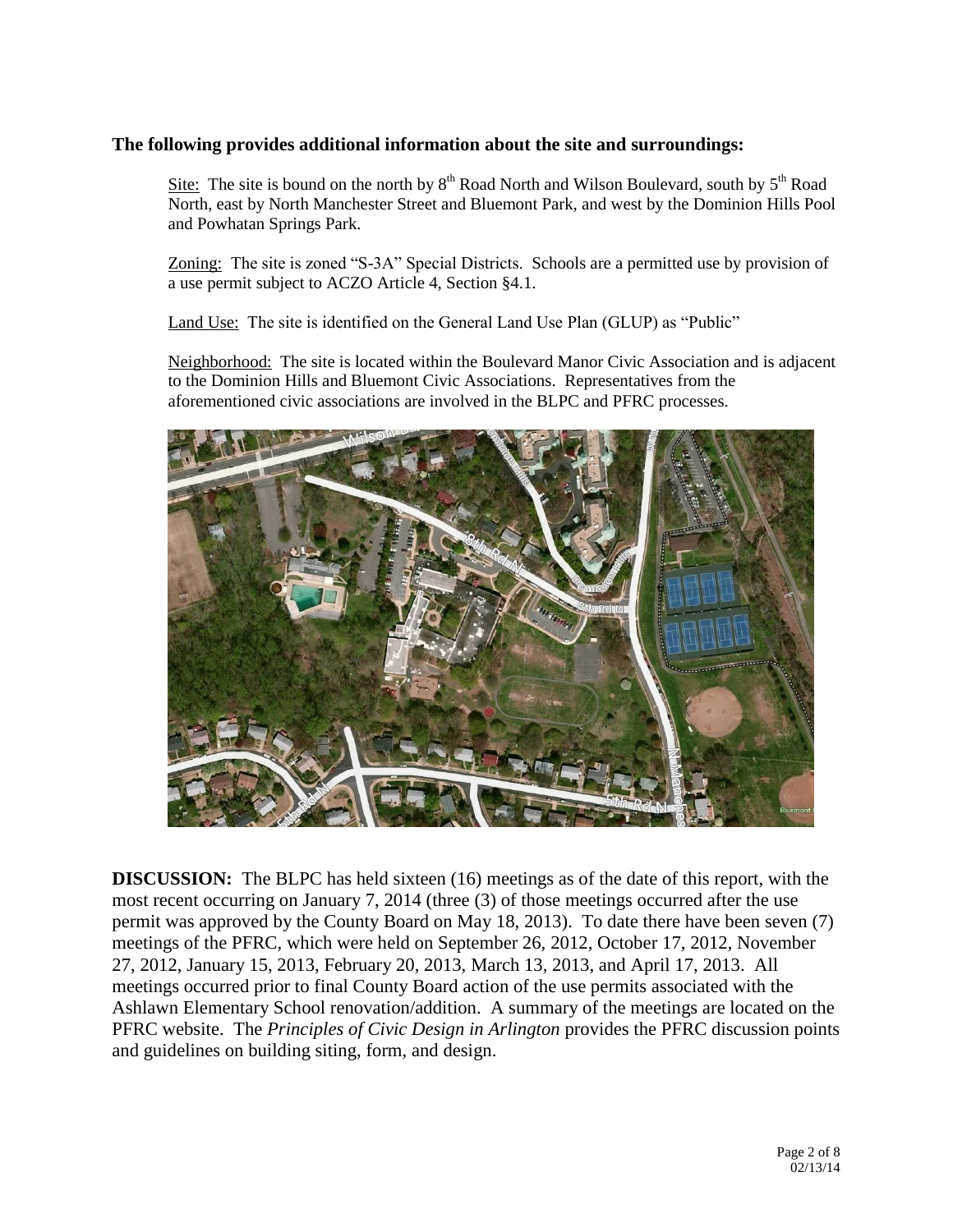## **The following provides additional information about the site and surroundings:**

Site: The site is bound on the north by  $8<sup>th</sup>$  Road North and Wilson Boulevard, south by  $5<sup>th</sup>$  Road North, east by North Manchester Street and Bluemont Park, and west by the Dominion Hills Pool and Powhatan Springs Park.

Zoning: The site is zoned "S-3A" Special Districts. Schools are a permitted use by provision of a use permit subject to ACZO Article 4, Section §4.1.

Land Use: The site is identified on the General Land Use Plan (GLUP) as "Public"

Neighborhood: The site is located within the Boulevard Manor Civic Association and is adjacent to the Dominion Hills and Bluemont Civic Associations. Representatives from the aforementioned civic associations are involved in the BLPC and PFRC processes.



**DISCUSSION:** The BLPC has held sixteen (16) meetings as of the date of this report, with the most recent occurring on January 7, 2014 (three (3) of those meetings occurred after the use permit was approved by the County Board on May 18, 2013). To date there have been seven (7) meetings of the PFRC, which were held on September 26, 2012, October 17, 2012, November 27, 2012, January 15, 2013, February 20, 2013, March 13, 2013, and April 17, 2013. All meetings occurred prior to final County Board action of the use permits associated with the Ashlawn Elementary School renovation/addition. A summary of the meetings are located on the PFRC website. The *Principles of Civic Design in Arlington* provides the PFRC discussion points and guidelines on building siting, form, and design.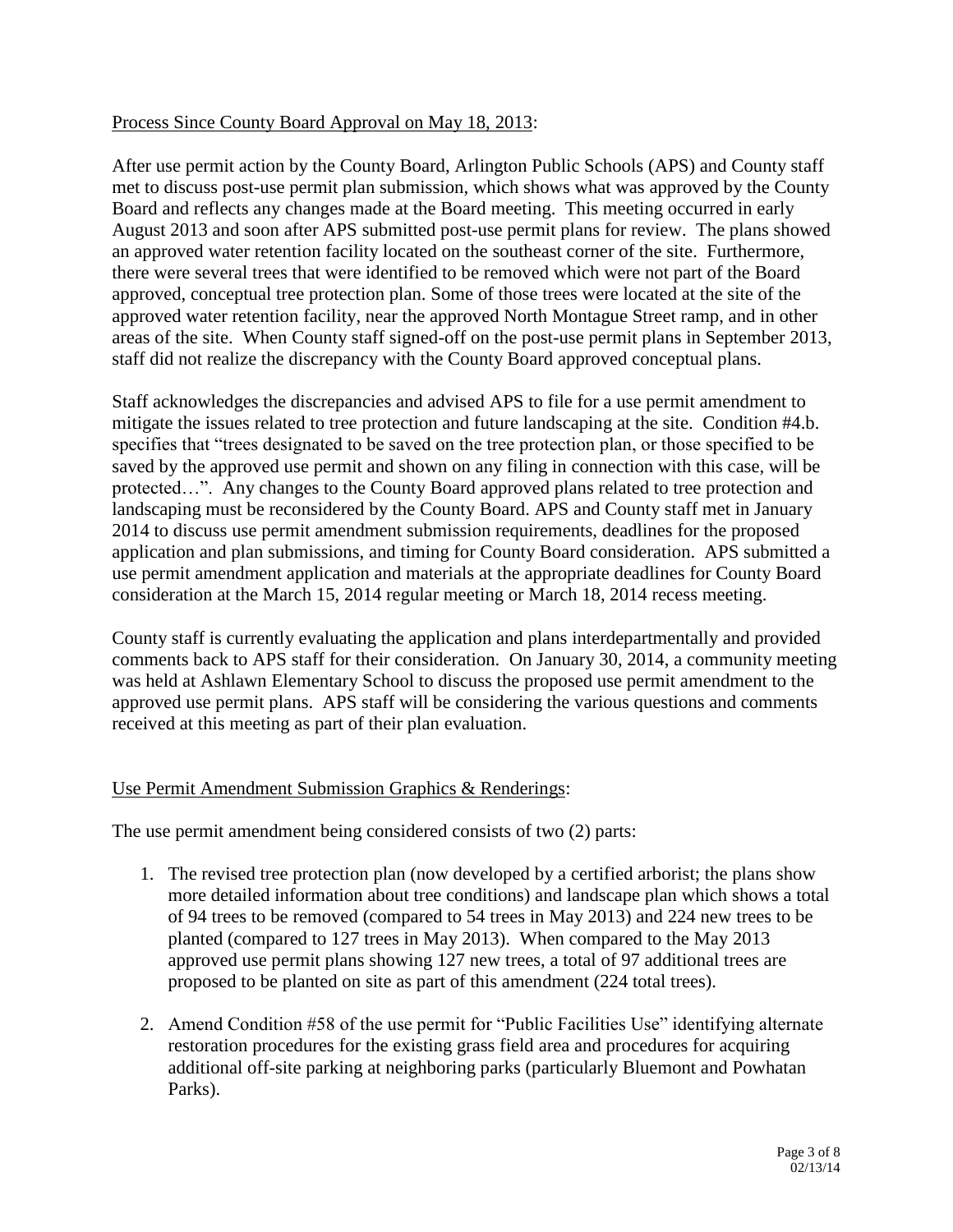## Process Since County Board Approval on May 18, 2013:

After use permit action by the County Board, Arlington Public Schools (APS) and County staff met to discuss post-use permit plan submission, which shows what was approved by the County Board and reflects any changes made at the Board meeting. This meeting occurred in early August 2013 and soon after APS submitted post-use permit plans for review. The plans showed an approved water retention facility located on the southeast corner of the site. Furthermore, there were several trees that were identified to be removed which were not part of the Board approved, conceptual tree protection plan. Some of those trees were located at the site of the approved water retention facility, near the approved North Montague Street ramp, and in other areas of the site. When County staff signed-off on the post-use permit plans in September 2013, staff did not realize the discrepancy with the County Board approved conceptual plans.

Staff acknowledges the discrepancies and advised APS to file for a use permit amendment to mitigate the issues related to tree protection and future landscaping at the site. Condition #4.b. specifies that "trees designated to be saved on the tree protection plan, or those specified to be saved by the approved use permit and shown on any filing in connection with this case, will be protected…". Any changes to the County Board approved plans related to tree protection and landscaping must be reconsidered by the County Board. APS and County staff met in January 2014 to discuss use permit amendment submission requirements, deadlines for the proposed application and plan submissions, and timing for County Board consideration. APS submitted a use permit amendment application and materials at the appropriate deadlines for County Board consideration at the March 15, 2014 regular meeting or March 18, 2014 recess meeting.

County staff is currently evaluating the application and plans interdepartmentally and provided comments back to APS staff for their consideration. On January 30, 2014, a community meeting was held at Ashlawn Elementary School to discuss the proposed use permit amendment to the approved use permit plans. APS staff will be considering the various questions and comments received at this meeting as part of their plan evaluation.

## Use Permit Amendment Submission Graphics & Renderings:

The use permit amendment being considered consists of two (2) parts:

- 1. The revised tree protection plan (now developed by a certified arborist; the plans show more detailed information about tree conditions) and landscape plan which shows a total of 94 trees to be removed (compared to 54 trees in May 2013) and 224 new trees to be planted (compared to 127 trees in May 2013). When compared to the May 2013 approved use permit plans showing 127 new trees, a total of 97 additional trees are proposed to be planted on site as part of this amendment (224 total trees).
- 2. Amend Condition #58 of the use permit for "Public Facilities Use" identifying alternate restoration procedures for the existing grass field area and procedures for acquiring additional off-site parking at neighboring parks (particularly Bluemont and Powhatan Parks).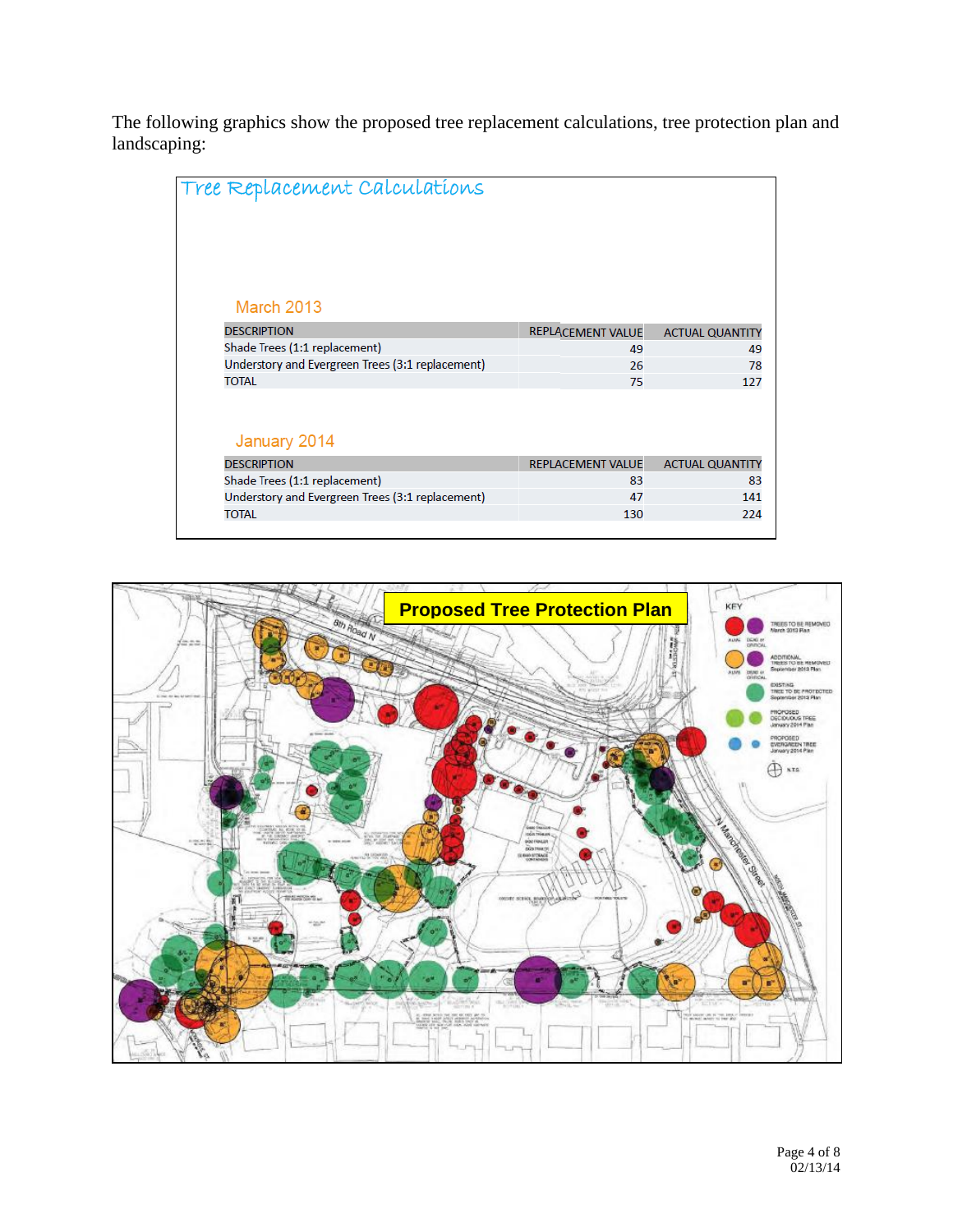The following graphics show the proposed tree replacement calculations, tree protection plan and landscaping:

| Tree Replacement Calculations                    |                          |                        |
|--------------------------------------------------|--------------------------|------------------------|
| <b>March 2013</b>                                |                          |                        |
| <b>DESCRIPTION</b>                               | <b>REPLACEMENT VALUE</b> | <b>ACTUAL QUANTITY</b> |
| Shade Trees (1:1 replacement)                    | 49                       | 49                     |
| Understory and Evergreen Trees (3:1 replacement) | 26                       | 78                     |
| <b>TOTAL</b>                                     | 75                       | 127                    |
|                                                  |                          |                        |
| January 2014                                     |                          |                        |
| <b>DESCRIPTION</b>                               | <b>REPLACEMENT VALUE</b> | <b>ACTUAL QUANTITY</b> |
| Shade Trees (1:1 replacement)                    | 83                       | 83                     |
| Understory and Evergreen Trees (3:1 replacement) | 47                       | 141                    |
| <b>TOTAL</b>                                     | 130                      | 224                    |

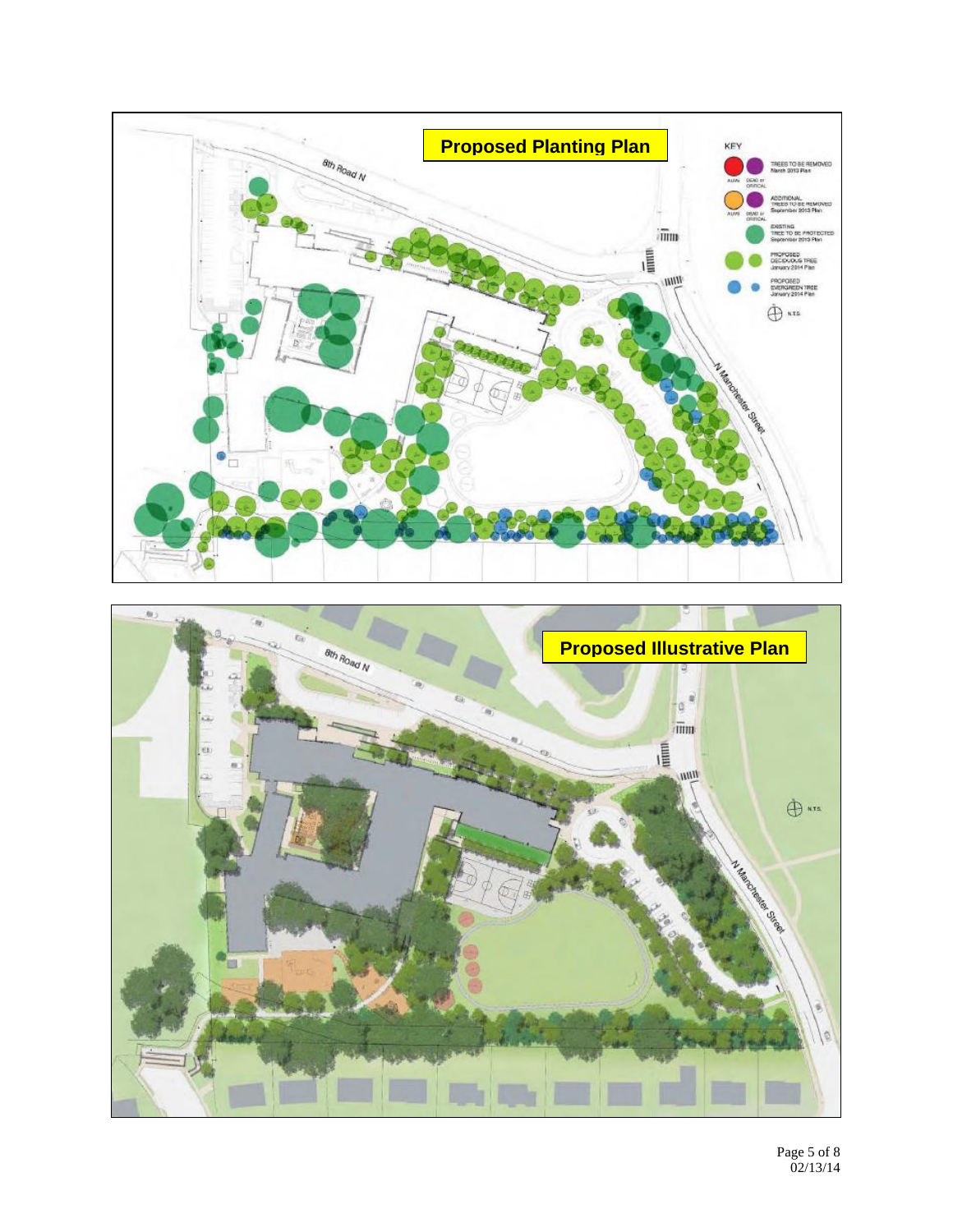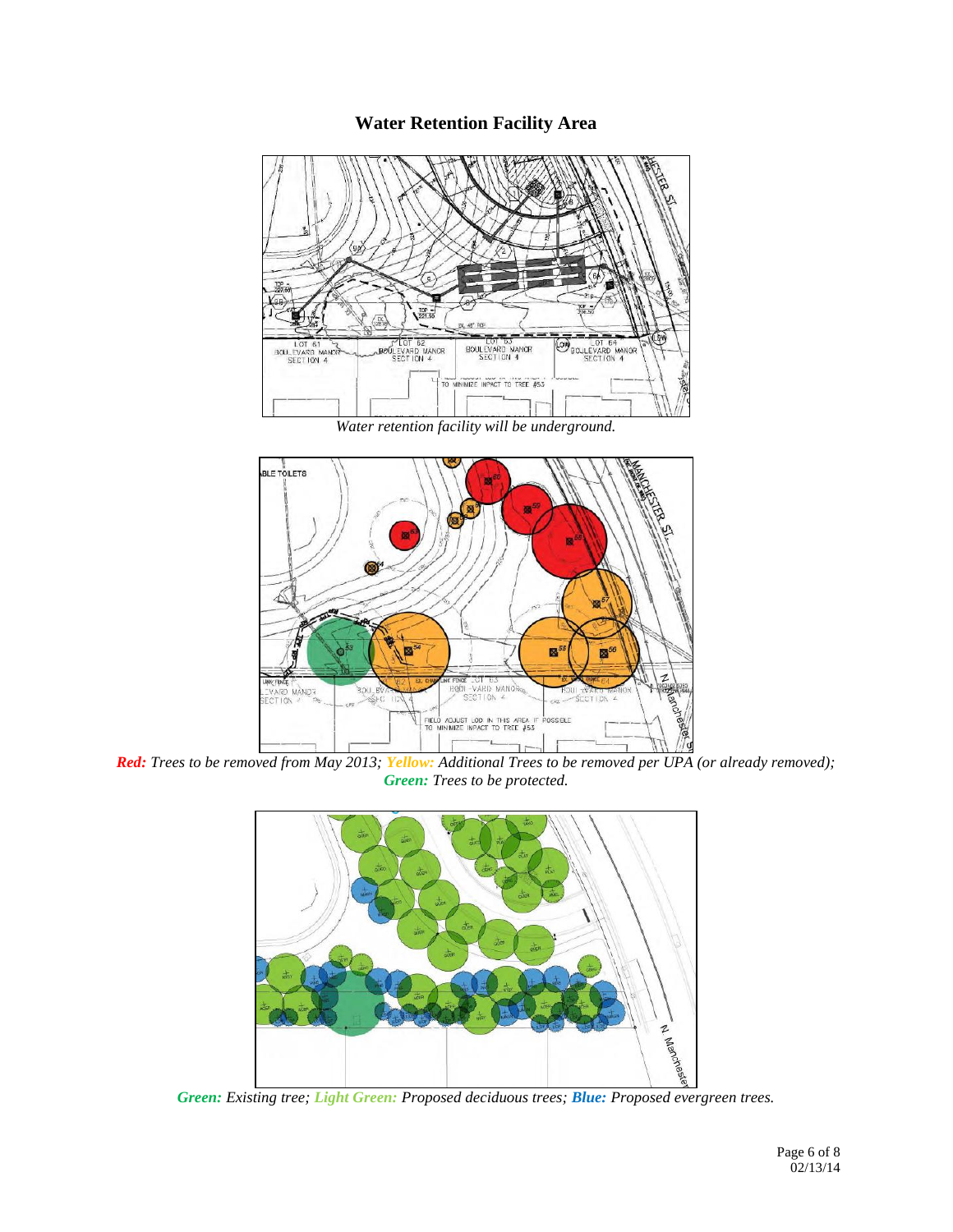# **Water Retention Facility Area**



*Water retention facility will be underground.* 



*Red: Trees to be removed from May 2013; Yellow: Additional Trees to be removed per UPA (or already removed); Green: Trees to be protected.*



*Green: Existing tree; Light Green: Proposed deciduous trees; Blue: Proposed evergreen trees.*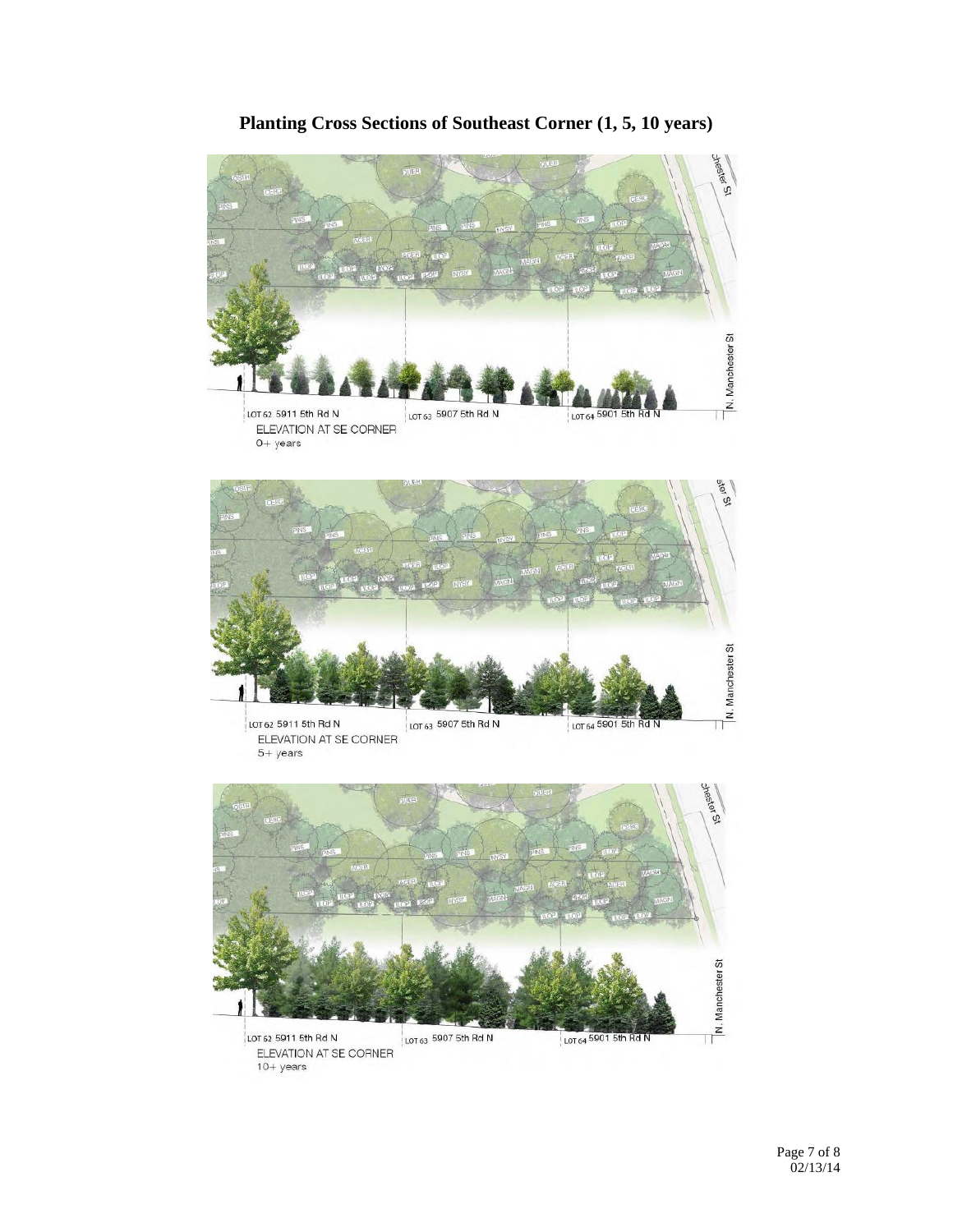

# **Planting Cross Sections of Southeast Corner (1, 5, 10 years)**



ó ίņ, N. Manchester St LOT 62 5911 5th Rd N LOT 63 5907 5th Rd N LOT 64 5901 5th Rd N ELEVATION AT SE CORNER  $10+$  years